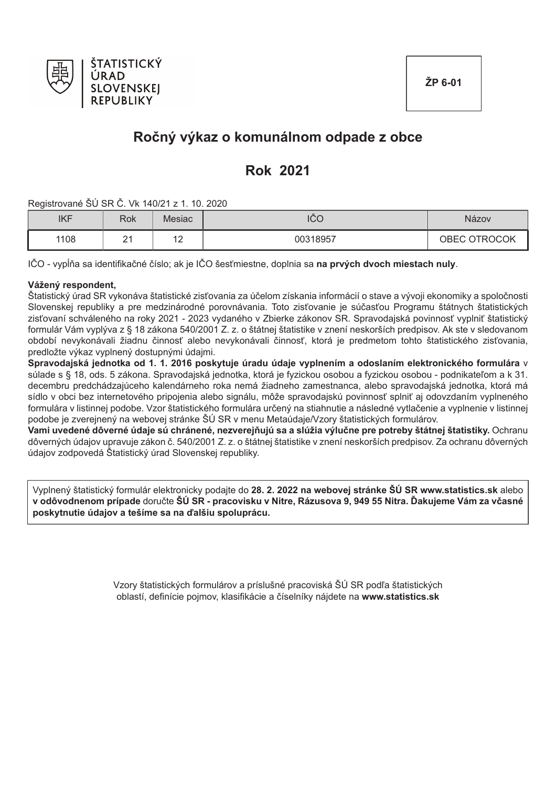

# Ročný výkaz o komunálnom odpade z obce

# **Rok 2021**

Registrované ŠÚ SR Č. Vk 140/21 z 1, 10, 2020

| <b>IKF</b> | <b>Rok</b> | Mesiac        | <b>ICC</b> | Názov        |
|------------|------------|---------------|------------|--------------|
| 1108       | n,<br>-    | $\sim$<br>. . | 00318957   | OBEC OTROCOK |

IČO - vypĺňa sa identifikačné číslo; ak je IČO šesťmiestne, doplnia sa na prvých dvoch miestach nuly.

### Vážený respondent,

Štatistický úrad SR vykonáva štatistické zisťovania za účelom získania informácií o stave a vývoji ekonomiky a spoločnosti Slovenskej republiky a pre medzinárodné porovnávania. Toto zisťovanie je súčasťou Programu štátnych štatistických zisťovaní schváleného na roky 2021 - 2023 vydaného v Zbierke zákonov SR. Spravodajská povinnosť vyplniť štatistický formulár Vám vyplýva z § 18 zákona 540/2001 Z. z. o štátnej štatistike v znení neskorších predpisov. Ak ste v sledovanom období nevykonávali žiadnu činnosť alebo nevykonávali činnosť, ktorá je predmetom tohto štatistického zisťovania, predložte výkaz vyplnený dostupnými údajmi.

Spravodajská jednotka od 1. 1. 2016 poskytuje úradu údaje vyplnením a odoslaním elektronického formulára v súlade s § 18. ods. 5 zákona. Spravodajská jednotka, ktorá je fyzickou osobou a fyzickou osobou - podnikateľom a k 31. decembru predchádzajúceho kalendárneho roka nemá žiadneho zamestnanca, alebo spravodajská jednotka, ktorá má sídlo v obci bez internetového pripojenia alebo signálu, môže spravodajskú povinnosť splniť aj odovzdaním vyplneného formulára v listinnej podobe. Vzor štatistického formulára určený na stiahnutie a následné vytlačenie a vyplnenie v listinnej podobe je zverejnený na webovej stránke ŠÚ SR v menu Metaúdaje/Vzory štatistických formulárov.

Vami uvedené dôverné údaje sú chránené, nezverejňujú sa a slúžia výlučne pre potreby štátnej štatistiky. Ochranu dôverných údajov upravuje zákon č. 540/2001 Z. z. o štátnej štatistike v znení neskorších predpisov. Za ochranu dôverných údajov zodpovedá Štatistický úrad Slovenskej republiky.

Vyplnený štatistický formulár elektronicky podajte do 28. 2. 2022 na webovej stránke ŠÚ SR www.statistics.sk alebo v odôvodnenom prípade doručte ŠÚ SR - pracovisku v Nitre, Rázusova 9, 949 55 Nitra. Ďakujeme Vám za včasné poskytnutie údajov a tešíme sa na ďalšiu spoluprácu.

> Vzory štatistických formulárov a príslušné pracoviská ŠÚ SR podľa štatistických oblastí, definície pojmov, klasifikácie a číselníky nájdete na www.statistics.sk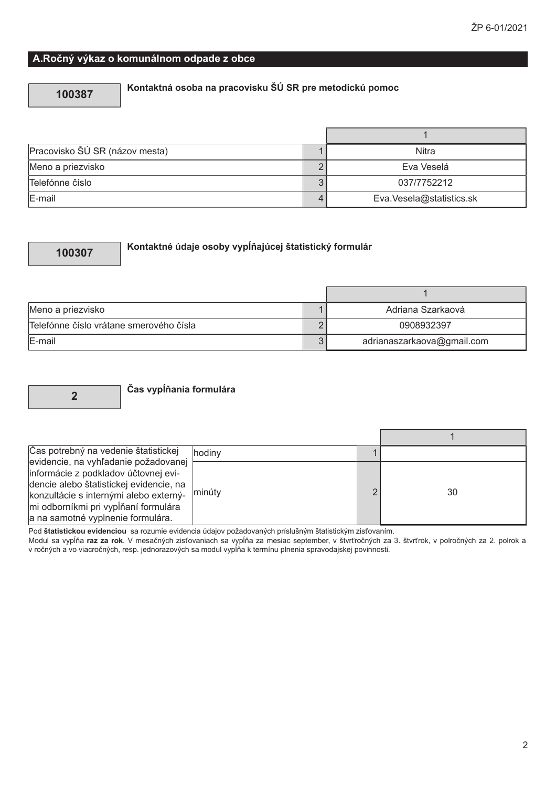### A.Ročný výkaz o komunálnom odpade z obce

### 100387

# Kontaktná osoba na pracovisku ŠÚ SR pre metodickú pomoc

| Pracovisko ŠÚ SR (názov mesta) | Nitra                    |
|--------------------------------|--------------------------|
| Meno a priezvisko              | Eva Veselá               |
| Telefónne číslo                | 037/7752212              |
| E-mail                         | Eva.Vesela@statistics.sk |

### 100307

### Kontaktné údaje osoby vypĺňajúcej štatistický formulár

| Meno a priezvisko                       | Adriana Szarkaová          |
|-----------------------------------------|----------------------------|
| Telefónne číslo vrátane smerového čísla | 0908932397                 |
| E-mail                                  | adrianaszarkaova@gmail.com |

 $\overline{2}$ 

### Čas vypĺňania formulára

| Čas potrebný na vedenie štatistickej    | hodiny |   |    |
|-----------------------------------------|--------|---|----|
| evidencie, na vyhľadanie požadovanej    |        |   |    |
| informácie z podkladov účtovnej evi-    |        |   |    |
| dencie alebo štatistickej evidencie, na |        |   |    |
| konzultácie s internými alebo externý-  | minúty | ◠ | 30 |
| mi odborníkmi pri vypĺňaní formulára    |        |   |    |
| a na samotné vyplnenie formulára.       |        |   |    |

Pod štatistickou evidenciou sa rozumie evidencia údajov požadovaných príslušným štatistickým zisťovaním.

Modul sa vypĺňa raz za rok. V mesačných zisťovaniach sa vypĺňa za mesiac september, v štvrťročných za 3. štvrťrok, v polročných za 2. polrok a v ročných za 2. polrok a v ročných za 2. polrok a v ročných za 2. polrok a v ro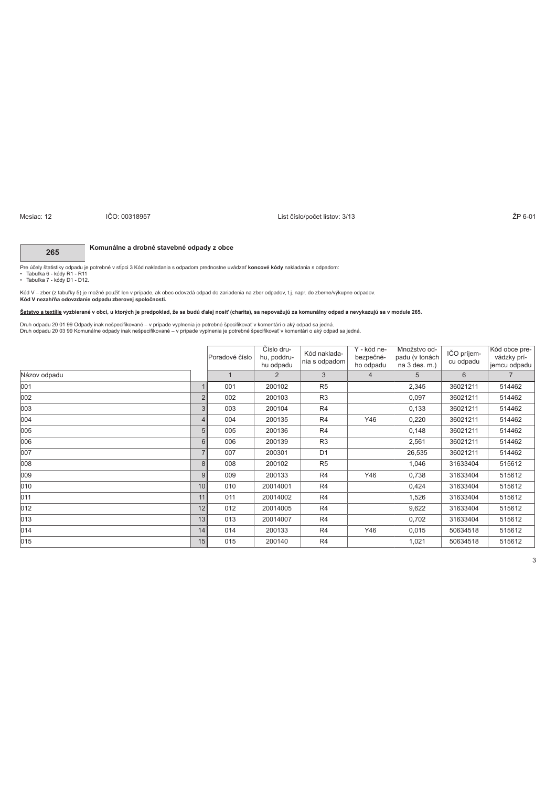### ! "R #R'&()\* W

### ighthrough the Second State of the Second State of the Second State of the Second State of the Second State of the Second State of the Second State of the Second State of the Second State of the Second State of the Second

### **265** Komunálne a drobné stavebné odpady z obce

Pre účely štatistiky odpadu je potrebné v stlpci 3 Kód nakladania s odpadom prednostne uvádzať **koncové kódy** nakladania s odpadom:<br>• Tabuľka 7 - kódy D1 - R11<br>• Tabuľka 7 - kódy D1 - D12.

Kód V – zber (z tabuľky 5) je možné použiť len v prípade, ak obec odovzdá odpad da zaleradena zaber, do zbeme/výkupne odpadov.<br>**Kód V nezahŕňa odovzdanie odpadu zberovej spoločnosti.** 

Šatstvo a textilie vyzbierané v obci, u ktorých je predpoklad, že sa budú ďalej nosiť (charita), sa nepovažujú za komunálny odpad a nevykazujú sa v module 265.

Druh odpadu 20 01 99 Odpady inak nešpecifikované – v prípade vyplnenia je potrebné špecifikovať v komentári o aký odpad sa jedná.<br>Druh odpadu 20 03 99 Komunálne odpady inak nešpecifikované – v prípade vyplnenia je potrebné

|              |                | Poradové číslo | Císlo dru-<br>hu, poddru-<br>hu odpadu | Kód naklada-<br>nia s odpadom | Y - kód ne-<br>bezpečné-<br>ho odpadu | Množstvo od-<br>padu (v tonách<br>na 3 des. m.) | IČO príjem-<br>cu odpadu | Kód obce pre-<br>vádzky prí-<br>jemcu odpadu |
|--------------|----------------|----------------|----------------------------------------|-------------------------------|---------------------------------------|-------------------------------------------------|--------------------------|----------------------------------------------|
| Názov odpadu |                |                | $\overline{2}$                         | 3                             | $\overline{4}$                        | 5                                               | 6                        | $\overline{7}$                               |
| 001          |                | 001            | 200102                                 | R <sub>5</sub>                |                                       | 2,345                                           | 36021211                 | 514462                                       |
| 002          | $\overline{2}$ | 002            | 200103                                 | R <sub>3</sub>                |                                       | 0,097                                           | 36021211                 | 514462                                       |
| 003          | 3              | 003            | 200104                                 | R <sub>4</sub>                |                                       | 0,133                                           | 36021211                 | 514462                                       |
| 004          | $\overline{4}$ | 004            | 200135                                 | R <sub>4</sub>                | Y46                                   | 0,220                                           | 36021211                 | 514462                                       |
| 005          | 5              | 005            | 200136                                 | R <sub>4</sub>                |                                       | 0,148                                           | 36021211                 | 514462                                       |
| 006          | 6              | 006            | 200139                                 | R <sub>3</sub>                |                                       | 2,561                                           | 36021211                 | 514462                                       |
| 007          |                | 007            | 200301                                 | D <sub>1</sub>                |                                       | 26,535                                          | 36021211                 | 514462                                       |
| 800          | 8              | 008            | 200102                                 | R <sub>5</sub>                |                                       | 1,046                                           | 31633404                 | 515612                                       |
| 009          | 9              | 009            | 200133                                 | R4                            | Y46                                   | 0,738                                           | 31633404                 | 515612                                       |
| 010          | 10             | 010            | 20014001                               | R4                            |                                       | 0,424                                           | 31633404                 | 515612                                       |
| 011          | 11             | 011            | 20014002                               | R4                            |                                       | 1,526                                           | 31633404                 | 515612                                       |
| 012          | 12             | 012            | 20014005                               | R4                            |                                       | 9,622                                           | 31633404                 | 515612                                       |
| 013          | 13             | 013            | 20014007                               | R <sub>4</sub>                |                                       | 0,702                                           | 31633404                 | 515612                                       |
| 014          | 14             | 014            | 200133                                 | R <sub>4</sub>                | Y46                                   | 0,015                                           | 50634518                 | 515612                                       |
| 015          | 15             | 015            | 200140                                 | R <sub>4</sub>                |                                       | 1,021                                           | 50634518                 | 515612                                       |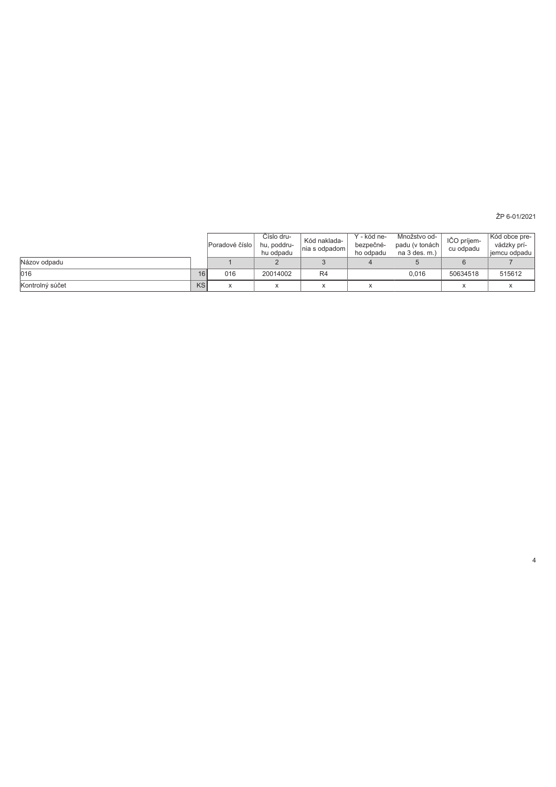ŽP 6-01/2021

 $\overline{4}$ 

|                 |    | Poradové číslo              | Číslo dru-<br>hu, poddru-<br>hu odpadu | Kód naklada-<br>nia s odpadom | Y - kód ne-<br>bezpečné-<br>ho odpadu | Množstvo od-<br>padu (v tonách<br>na 3 des. m.) | IČO príjem-<br>cu odpadu | Kód obce pre-<br>vádzky prí-<br>jemcu odpadu |
|-----------------|----|-----------------------------|----------------------------------------|-------------------------------|---------------------------------------|-------------------------------------------------|--------------------------|----------------------------------------------|
| Názov odpadu    |    |                             |                                        |                               |                                       |                                                 |                          |                                              |
| 016             | 16 | 016                         | 20014002                               | R4                            |                                       | 0.016                                           | 50634518                 | 515612                                       |
| Kontrolný súčet | KS | $\overline{ }$<br>$\lambda$ |                                        | $\overline{\phantom{a}}$      |                                       |                                                 |                          |                                              |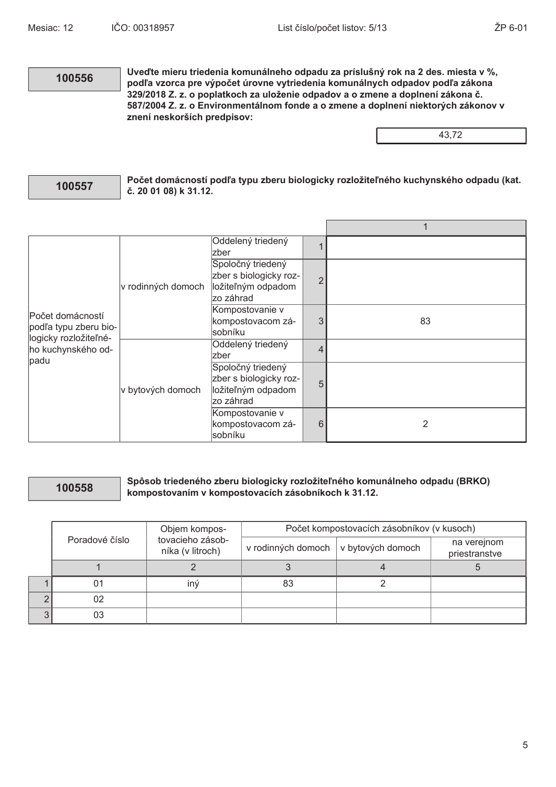### 100556

Uveďte mieru triedenia komunálneho odpadu za príslušný rok na 2 des. miesta v %, podľa vzorca pre výpočet úrovne vytriedenia komunálnych odpadov podľa zákona 329/2018 Z. z. o poplatkoch za uloženie odpadov a o zmene a doplnení zákona č. 587/2004 Z. z. o Environmentálnom fonde a o zmene a doplnení niektorých zákonov v znení neskorších predpisov:

43,72

### 100557

Počet domácností podľa typu zberu biologicky rozložiteľného kuchynského odpadu (kat. č. 20 01 08) k 31.12.

| Počet domácností<br>podľa typu zberu bio-           |                    | Oddelený triedený<br>Izber                                                      |                |    |
|-----------------------------------------------------|--------------------|---------------------------------------------------------------------------------|----------------|----|
|                                                     | v rodinných domoch | Spoločný triedený<br>zber s biologicky roz-<br>ložiteľným odpadom<br>lzo záhrad | $\overline{2}$ |    |
|                                                     |                    | Kompostovanie v<br>kompostovacom zá-<br>sobníku                                 | 3              | 83 |
| logicky rozložiteľné-<br>ho kuchynského od-<br>padu | v bytových domoch  | Oddelený triedený<br><b>zber</b>                                                | 4              |    |
|                                                     |                    | Spoločný triedený<br>zber s biologicky roz-<br>ložiteľným odpadom<br>zo záhrad  | 5              |    |
|                                                     |                    | Kompostovanie v<br>kompostovacom zá-<br>sobníku                                 | 6              | 2  |

### 100558

### Spôsob triedeného zberu biologicky rozložiteľného komunálneho odpadu (BRKO) kompostovaním v kompostovacích zásobníkoch k 31.12.

|   |                | Objem kompos-                        | Počet kompostovacích zásobníkov (v kusoch) |                   |                              |  |  |  |  |  |
|---|----------------|--------------------------------------|--------------------------------------------|-------------------|------------------------------|--|--|--|--|--|
|   | Poradové číslo | tovacieho zásob-<br>níka (v litroch) | v rodinných domoch                         | v bytových domoch | na verejnom<br>priestranstve |  |  |  |  |  |
|   |                |                                      |                                            |                   |                              |  |  |  |  |  |
|   | 01             | iný                                  | 83                                         |                   |                              |  |  |  |  |  |
| C | 02             |                                      |                                            |                   |                              |  |  |  |  |  |
| 3 | 03             |                                      |                                            |                   |                              |  |  |  |  |  |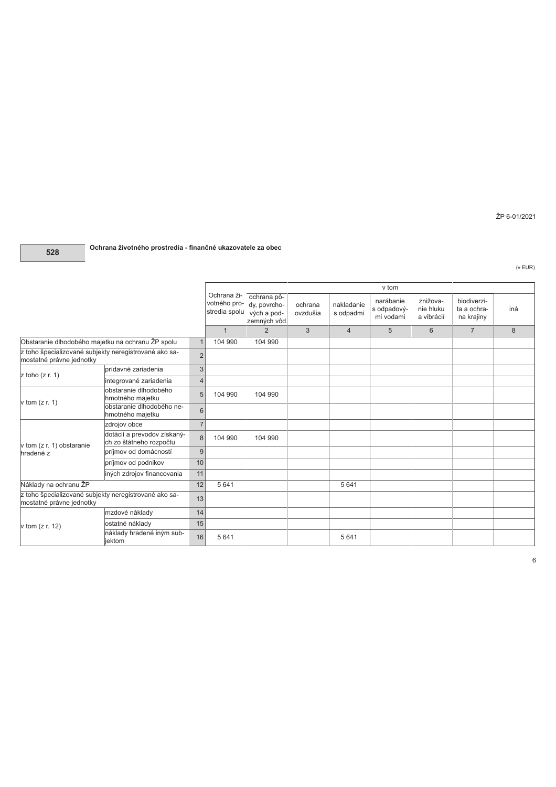## 528 Ochrana životného prostredia - finančné ukazovatele za obec

(v EUR)

ŽP 6-01/2021

|                                                                                         |                                                        |                 |                                              |                                                           |                     |                         | v tom                                 |                                     |                                          |     |
|-----------------------------------------------------------------------------------------|--------------------------------------------------------|-----------------|----------------------------------------------|-----------------------------------------------------------|---------------------|-------------------------|---------------------------------------|-------------------------------------|------------------------------------------|-----|
|                                                                                         |                                                        |                 | Ochrana ži-<br>votného pro-<br>stredia spolu | ochrana pô-<br>dy, povrcho-<br>vých a pod-<br>zemných vôd | ochrana<br>ovzdušia | nakladanie<br>s odpadmi | narábanie<br>s odpadový-<br>mi vodami | znižova-<br>nie hluku<br>a vibrácií | biodiverzi-<br>ta a ochra-<br>na krajiny | iná |
|                                                                                         |                                                        |                 | $\mathbf{1}$                                 | 2                                                         | 3                   | $\overline{4}$          | 5                                     | 6                                   | $\overline{7}$                           | 8   |
| Obstaranie dlhodobého majetku na ochranu ŽP spolu                                       |                                                        |                 | 104 990                                      | 104 990                                                   |                     |                         |                                       |                                     |                                          |     |
| z toho špecializované subjekty neregistrované ako sa-<br>mostatné právne jednotky       |                                                        | $\overline{2}$  |                                              |                                                           |                     |                         |                                       |                                     |                                          |     |
| $z$ toho $(z r. 1)$                                                                     | prídavné zariadenia                                    | 3               |                                              |                                                           |                     |                         |                                       |                                     |                                          |     |
|                                                                                         | integrované zariadenia                                 | $\overline{4}$  |                                              |                                                           |                     |                         |                                       |                                     |                                          |     |
| v tom $(z r. 1)$                                                                        | obstaranie dlhodobého<br>hmotného majetku              | 5               | 104 990                                      | 104 990                                                   |                     |                         |                                       |                                     |                                          |     |
|                                                                                         | obstaranie dlhodobého ne-<br>hmotného majetku          | $6\phantom{1}6$ |                                              |                                                           |                     |                         |                                       |                                     |                                          |     |
|                                                                                         | zdrojov obce                                           | $\overline{7}$  |                                              |                                                           |                     |                         |                                       |                                     |                                          |     |
| v tom (z r. 1) obstaranie                                                               | dotácií a prevodov získaný-<br>ch zo štátneho rozpočtu | 8               | 104 990                                      | 104 990                                                   |                     |                         |                                       |                                     |                                          |     |
| hradené z                                                                               | príjmov od domácností                                  | 9               |                                              |                                                           |                     |                         |                                       |                                     |                                          |     |
|                                                                                         | príjmov od podnikov                                    | 10              |                                              |                                                           |                     |                         |                                       |                                     |                                          |     |
|                                                                                         | iných zdrojov financovania                             | 11              |                                              |                                                           |                     |                         |                                       |                                     |                                          |     |
| Náklady na ochranu ŽP                                                                   |                                                        | 12              | 5 6 4 1                                      |                                                           |                     | 5 6 4 1                 |                                       |                                     |                                          |     |
| z toho špecializované subjekty neregistrované ako sa-<br>13<br>mostatné právne jednotky |                                                        |                 |                                              |                                                           |                     |                         |                                       |                                     |                                          |     |
|                                                                                         | mzdové náklady                                         | 14              |                                              |                                                           |                     |                         |                                       |                                     |                                          |     |
| v tom $(z r. 12)$                                                                       | ostatné náklady                                        | 15              |                                              |                                                           |                     |                         |                                       |                                     |                                          |     |
|                                                                                         | náklady hradené iným sub-<br>iektom                    | 16              | 5 6 4 1                                      |                                                           |                     | 5 6 4 1                 |                                       |                                     |                                          |     |

 $6\overline{6}$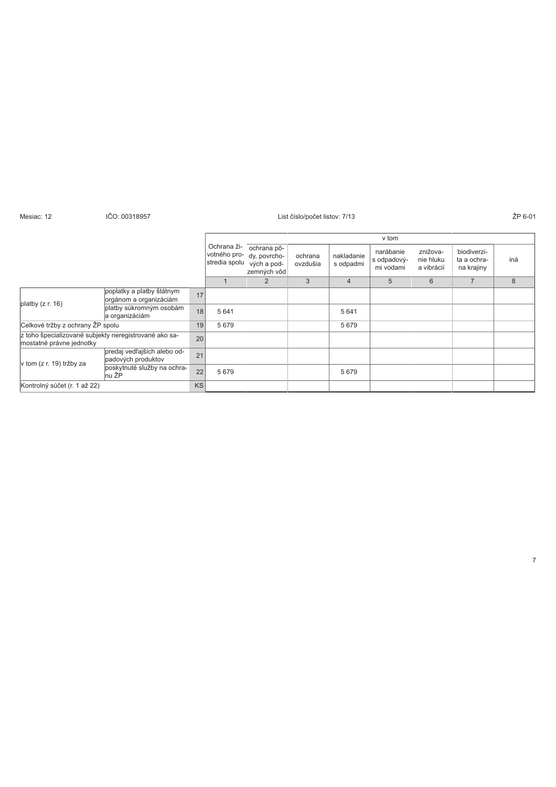| Mesiac: 12                       | IČO: 00318957                                         |           | List číslo/počet listov: 7/13                |                                                           |                     |                         |                                       |                                     |                                          |    |  |
|----------------------------------|-------------------------------------------------------|-----------|----------------------------------------------|-----------------------------------------------------------|---------------------|-------------------------|---------------------------------------|-------------------------------------|------------------------------------------|----|--|
|                                  |                                                       |           |                                              |                                                           | v tom               |                         |                                       |                                     |                                          |    |  |
|                                  |                                                       |           | Ochrana ži-<br>votného pro-<br>stredia spolu | ochrana pô-<br>dy, povrcho-<br>vých a pod-<br>zemných vôd | ochrana<br>ovzdušia | nakladanie<br>s odpadmi | narábanie<br>s odpadový-<br>mi vodami | znižova-<br>nie hluku<br>a vibrácií | biodiverzi-<br>ta a ochra-<br>na krajiny | in |  |
|                                  |                                                       |           |                                              | $\overline{2}$                                            | 3                   | $\overline{4}$          | 5                                     | 6                                   |                                          | 8  |  |
|                                  | poplatky a platby štátnym<br>orgánom a organizáciám   | 17        |                                              |                                                           |                     |                         |                                       |                                     |                                          |    |  |
| platby $(z r. 16)$               | platby súkromným osobám<br>a organizáciám             | 18        | 5 6 4 1                                      |                                                           |                     | 5 641                   |                                       |                                     |                                          |    |  |
| Celkové tržby z ochrany ŽP spolu |                                                       | 19        | 5679                                         |                                                           |                     | 5679                    |                                       |                                     |                                          |    |  |
| mostatné právne jednotky         | z toho špecializované subjekty neregistrované ako sa- | 20        |                                              |                                                           |                     |                         |                                       |                                     |                                          |    |  |
| v tom (z r. 19) tržby za         | predaj vedľajších alebo od-<br>padových produktov     | 21        |                                              |                                                           |                     |                         |                                       |                                     |                                          |    |  |
|                                  | poskytnuté služby na ochra-<br>nu ŽP                  | 22        | 5679                                         |                                                           |                     | 5679                    |                                       |                                     |                                          |    |  |
| Kontrolný súčet (r. 1 až 22)     |                                                       | <b>KS</b> |                                              |                                                           |                     |                         |                                       |                                     |                                          |    |  |

 7> ?5 KGL

ŽP 6-01

iná

\*